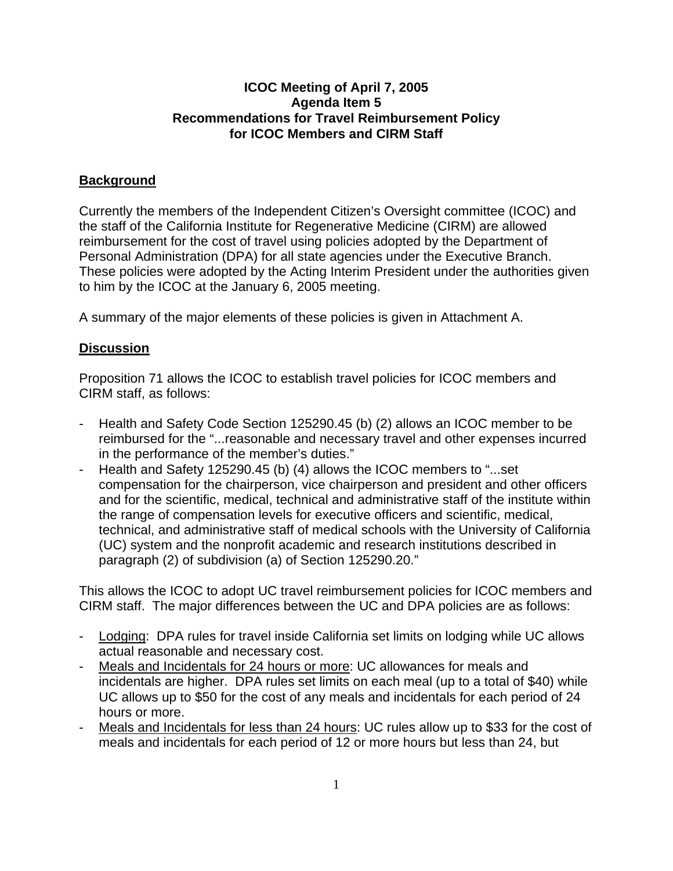## **ICOC Meeting of April 7, 2005 Agenda Item 5 Recommendations for Travel Reimbursement Policy for ICOC Members and CIRM Staff**

## **Background**

Currently the members of the Independent Citizen's Oversight committee (ICOC) and the staff of the California Institute for Regenerative Medicine (CIRM) are allowed reimbursement for the cost of travel using policies adopted by the Department of Personal Administration (DPA) for all state agencies under the Executive Branch. These policies were adopted by the Acting Interim President under the authorities given to him by the ICOC at the January 6, 2005 meeting.

A summary of the major elements of these policies is given in Attachment A.

## **Discussion**

Proposition 71 allows the ICOC to establish travel policies for ICOC members and CIRM staff, as follows:

- Health and Safety Code Section 125290.45 (b) (2) allows an ICOC member to be reimbursed for the "...reasonable and necessary travel and other expenses incurred in the performance of the member's duties."
- Health and Safety 125290.45 (b) (4) allows the ICOC members to "...set compensation for the chairperson, vice chairperson and president and other officers and for the scientific, medical, technical and administrative staff of the institute within the range of compensation levels for executive officers and scientific, medical, technical, and administrative staff of medical schools with the University of California (UC) system and the nonprofit academic and research institutions described in paragraph (2) of subdivision (a) of Section 125290.20."

This allows the ICOC to adopt UC travel reimbursement policies for ICOC members and CIRM staff. The major differences between the UC and DPA policies are as follows:

- Lodging: DPA rules for travel inside California set limits on lodging while UC allows actual reasonable and necessary cost.
- Meals and Incidentals for 24 hours or more: UC allowances for meals and incidentals are higher. DPA rules set limits on each meal (up to a total of \$40) while UC allows up to \$50 for the cost of any meals and incidentals for each period of 24 hours or more.
- Meals and Incidentals for less than 24 hours: UC rules allow up to \$33 for the cost of meals and incidentals for each period of 12 or more hours but less than 24, but